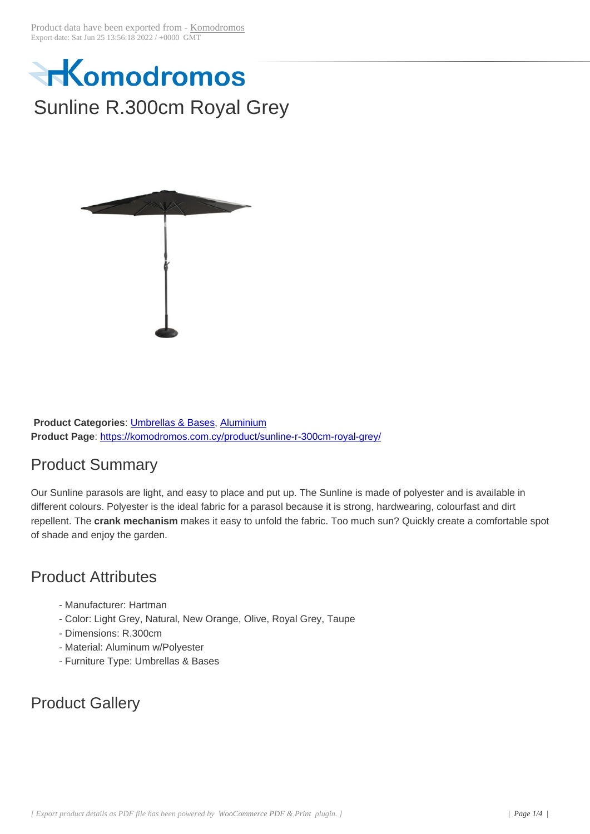

## Sunline R.300cm Royal Grey



**Product Categories**: Umbrellas & Bases, Aluminium **Product Page**: https://komodromos.com.cy/product/sunline-r-300cm-royal-grey/

## Product Sum[mary](https://komodromos.com.cy/products/outdoor/o-umbrellas-bases/)

Our Sunline pa[rasols are light, and easy to place and put up. The Sunline is mad](https://komodromos.com.cy/product/sunline-r-300cm-royal-grey/)e of polyester and is available in different colours. Polyester is the ideal fabric for a parasol because it is strong, hardwearing, colourfast and dirt repellent. The **crank mechanism** makes it easy to unfold the fabric. Too much sun? Quickly create a comfortable spot of shade and enjoy the garden.

## Product Attributes

- Manufacturer: Hartman
- Color: Light Grey, Natural, New Orange, Olive, Royal Grey, Taupe
- Dimensions: R.300cm
- Material: Aluminum w/Polyester
- Furniture Type: Umbrellas & Bases

## Product Gallery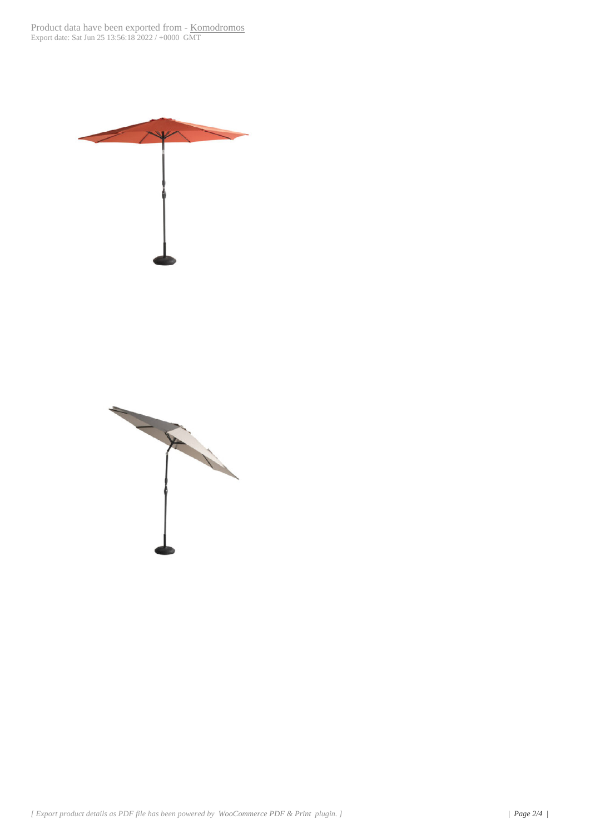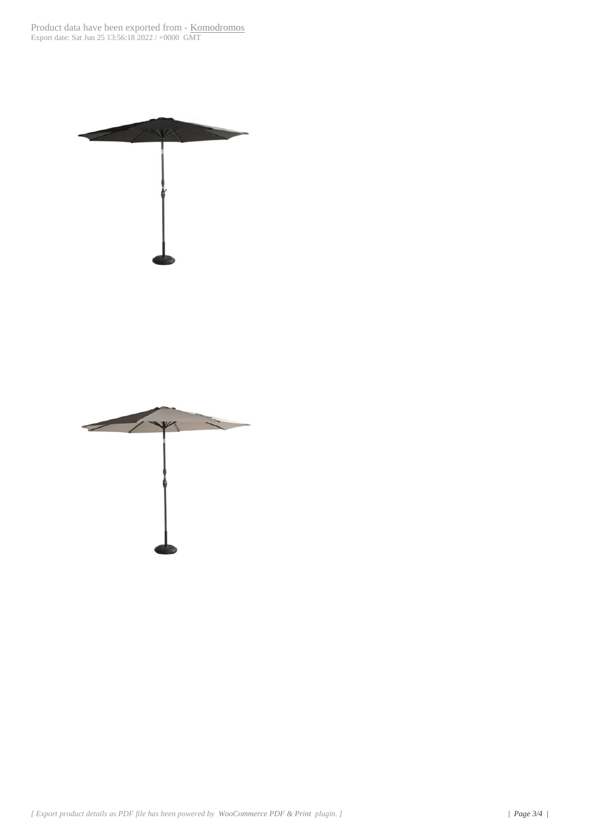